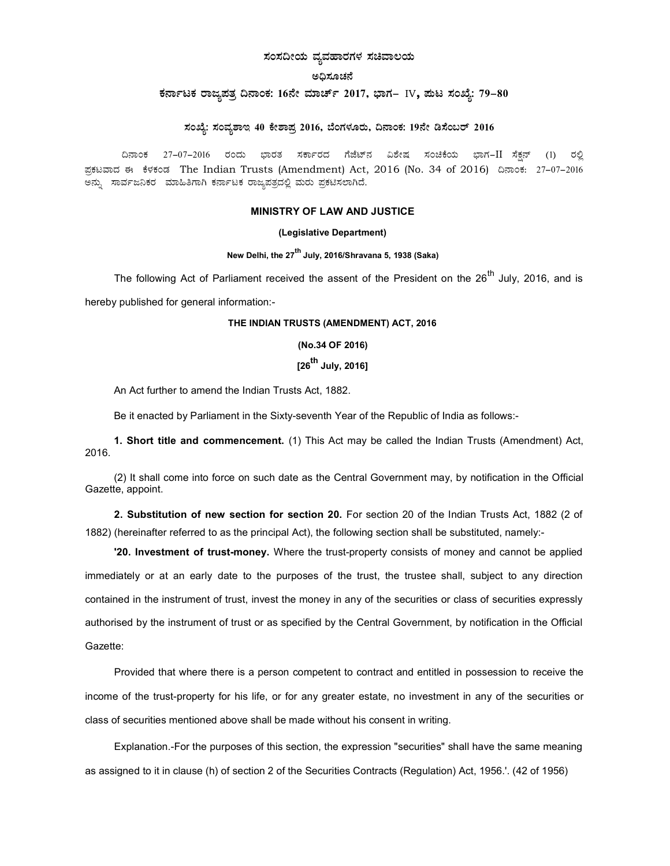# ಸಂಸದೀಯ ವ್ಯವಹಾರಗಳ ಸಚಿವಾಲಯ

#### ena zia

# ಕರ್ನಾಟಕ ರಾಜ್ಯಪತ್ರ ದಿನಾಂಕ: 16ನೇ ಮಾರ್ಚ್ 2017, ಭಾಗ– IV, ಪುಟ ಸಂಖ್ಯೆ: 79-80

# ಸಂಖ್ಯೆ: ಸಂವ್ಯಶಾಇ 40 ಕೇಶಾಪ್ರ 2016, ಬೆಂಗಳೂರು, ದಿನಾಂಕ: 19ನೇ ಡಿಸೆಂಬರ್ 2016

ದಿನಾಂಕ 27–07–2016 ರಂದು ಭಾರತ ಸರ್ಕಾರದ ಗೆಜೆಟ್ನ ವಿಶೇಷ ಸಂಚಿಕೆಯ ಭಾಗ−II ಸೆಕನ್ (1) ರಲ್ಲಿ ಪಕಟವಾದ ಈ ಕೆಳಕಂಡ The Indian Trusts (Amendment) Act, 2016 (No. 34 of 2016) ದಿನಾಂಕ: 27–07–2016 ಅನ್ನು ಸಾರ್ವಜನಿಕರ ಮಾಹಿತಿಗಾಗಿ ಕರ್ನಾಟಕ ರಾಜ್ಯಪತ್ರದಲ್ಲಿ ಮರು ಪ್ರಕಟಿಸಲಾಗಿದೆ.

#### MINISTRY OF LAW AND JUSTICE

#### (Legislative Department)

## New Delhi, the 27<sup>th</sup> July, 2016/Shravana 5, 1938 (Saka)

The following Act of Parliament received the assent of the President on the  $26^{th}$  July, 2016, and is hereby published for general information:-

#### THE INDIAN TRUSTS (AMENDMENT) ACT, 2016

(No.34 OF 2016)

# $[26^{th}$  July, 2016]

An Act further to amend the Indian Trusts Act, 1882.

Be it enacted by Parliament in the Sixty-seventh Year of the Republic of India as follows:-

1. Short title and commencement. (1) This Act may be called the Indian Trusts (Amendment) Act, 2016.

(2) It shall come into force on such date as the Central Government may, by notification in the Official Gazette, appoint.

2. Substitution of new section for section 20. For section 20 of the Indian Trusts Act, 1882 (2 of 1882) (hereinafter referred to as the principal Act), the following section shall be substituted, namely:-

'20. Investment of trust-money. Where the trust-property consists of money and cannot be applied immediately or at an early date to the purposes of the trust, the trustee shall, subject to any direction contained in the instrument of trust, invest the money in any of the securities or class of securities expressly authorised by the instrument of trust or as specified by the Central Government, by notification in the Official Gazette:

Provided that where there is a person competent to contract and entitled in possession to receive the income of the trust-property for his life, or for any greater estate, no investment in any of the securities or class of securities mentioned above shall be made without his consent in writing.

Explanation.-For the purposes of this section, the expression "securities" shall have the same meaning as assigned to it in clause (h) of section 2 of the Securities Contracts (Regulation) Act, 1956.'. (42 of 1956)